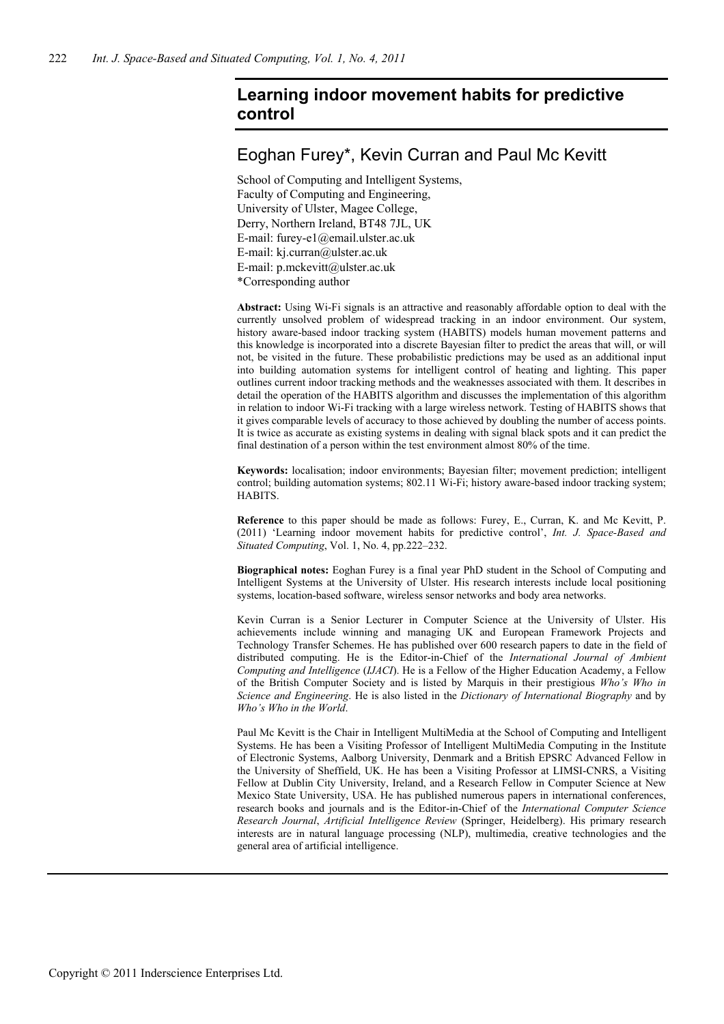# **Learning indoor movement habits for predictive control**

# Eoghan Furey\*, Kevin Curran and Paul Mc Kevitt

School of Computing and Intelligent Systems, Faculty of Computing and Engineering, University of Ulster, Magee College, Derry, Northern Ireland, BT48 7JL, UK E-mail: furey-e1@email.ulster.ac.uk E-mail: kj.curran@ulster.ac.uk E-mail: p.mckevitt@ulster.ac.uk \*Corresponding author

**Abstract:** Using Wi-Fi signals is an attractive and reasonably affordable option to deal with the currently unsolved problem of widespread tracking in an indoor environment. Our system, history aware-based indoor tracking system (HABITS) models human movement patterns and this knowledge is incorporated into a discrete Bayesian filter to predict the areas that will, or will not, be visited in the future. These probabilistic predictions may be used as an additional input into building automation systems for intelligent control of heating and lighting. This paper outlines current indoor tracking methods and the weaknesses associated with them. It describes in detail the operation of the HABITS algorithm and discusses the implementation of this algorithm in relation to indoor Wi-Fi tracking with a large wireless network. Testing of HABITS shows that it gives comparable levels of accuracy to those achieved by doubling the number of access points. It is twice as accurate as existing systems in dealing with signal black spots and it can predict the final destination of a person within the test environment almost 80% of the time.

**Keywords:** localisation; indoor environments; Bayesian filter; movement prediction; intelligent control; building automation systems; 802.11 Wi-Fi; history aware-based indoor tracking system; HABITS.

**Reference** to this paper should be made as follows: Furey, E., Curran, K. and Mc Kevitt, P. (2011) 'Learning indoor movement habits for predictive control', *Int. J. Space-Based and Situated Computing*, Vol. 1, No. 4, pp.222–232.

**Biographical notes:** Eoghan Furey is a final year PhD student in the School of Computing and Intelligent Systems at the University of Ulster. His research interests include local positioning systems, location-based software, wireless sensor networks and body area networks.

Kevin Curran is a Senior Lecturer in Computer Science at the University of Ulster. His achievements include winning and managing UK and European Framework Projects and Technology Transfer Schemes. He has published over 600 research papers to date in the field of distributed computing. He is the Editor-in-Chief of the *International Journal of Ambient Computing and Intelligence* (*IJACI*). He is a Fellow of the Higher Education Academy, a Fellow of the British Computer Society and is listed by Marquis in their prestigious *Who's Who in Science and Engineering*. He is also listed in the *Dictionary of International Biography* and by *Who's Who in the World*.

Paul Mc Kevitt is the Chair in Intelligent MultiMedia at the School of Computing and Intelligent Systems. He has been a Visiting Professor of Intelligent MultiMedia Computing in the Institute of Electronic Systems, Aalborg University, Denmark and a British EPSRC Advanced Fellow in the University of Sheffield, UK. He has been a Visiting Professor at LIMSI-CNRS, a Visiting Fellow at Dublin City University, Ireland, and a Research Fellow in Computer Science at New Mexico State University, USA. He has published numerous papers in international conferences, research books and journals and is the Editor-in-Chief of the *International Computer Science Research Journal*, *Artificial Intelligence Review* (Springer, Heidelberg). His primary research interests are in natural language processing (NLP), multimedia, creative technologies and the general area of artificial intelligence.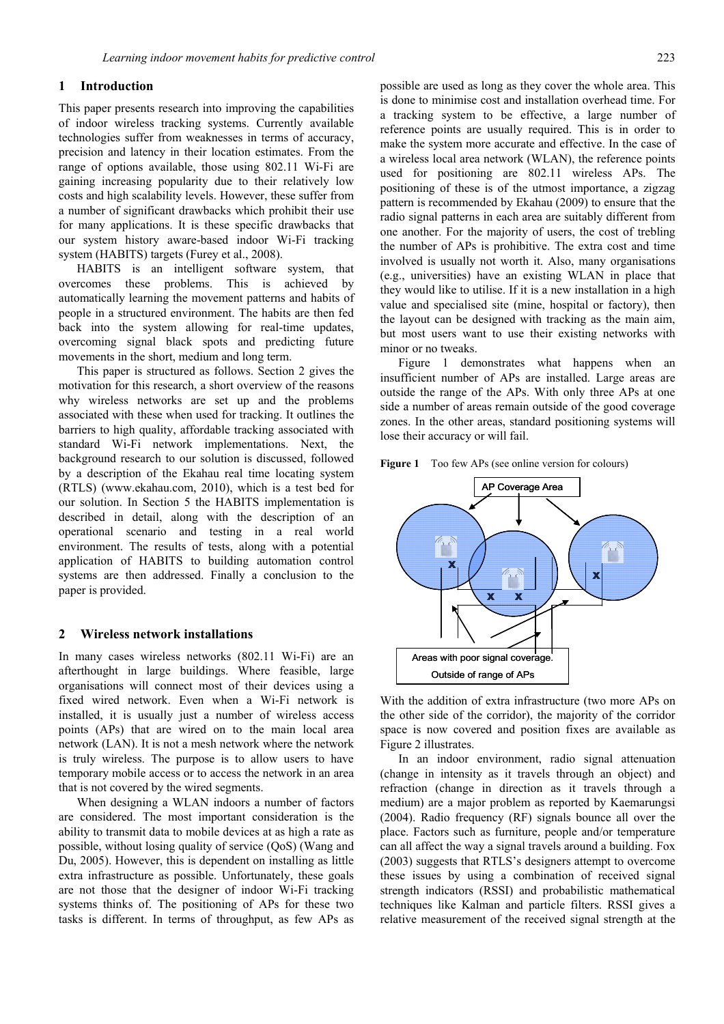# **1 Introduction**

This paper presents research into improving the capabilities of indoor wireless tracking systems. Currently available technologies suffer from weaknesses in terms of accuracy, precision and latency in their location estimates. From the range of options available, those using 802.11 Wi-Fi are gaining increasing popularity due to their relatively low costs and high scalability levels. However, these suffer from a number of significant drawbacks which prohibit their use for many applications. It is these specific drawbacks that our system history aware-based indoor Wi-Fi tracking system (HABITS) targets (Furey et al., 2008).

HABITS is an intelligent software system, that overcomes these problems. This is achieved by automatically learning the movement patterns and habits of people in a structured environment. The habits are then fed back into the system allowing for real-time updates, overcoming signal black spots and predicting future movements in the short, medium and long term.

This paper is structured as follows. Section 2 gives the motivation for this research, a short overview of the reasons why wireless networks are set up and the problems associated with these when used for tracking. It outlines the barriers to high quality, affordable tracking associated with standard Wi-Fi network implementations. Next, the background research to our solution is discussed, followed by a description of the Ekahau real time locating system (RTLS) (www.ekahau.com, 2010), which is a test bed for our solution. In Section 5 the HABITS implementation is described in detail, along with the description of an operational scenario and testing in a real world environment. The results of tests, along with a potential application of HABITS to building automation control systems are then addressed. Finally a conclusion to the paper is provided.

#### **2 Wireless network installations**

In many cases wireless networks (802.11 Wi-Fi) are an afterthought in large buildings. Where feasible, large organisations will connect most of their devices using a fixed wired network. Even when a Wi-Fi network is installed, it is usually just a number of wireless access points (APs) that are wired on to the main local area network (LAN). It is not a mesh network where the network is truly wireless. The purpose is to allow users to have temporary mobile access or to access the network in an area that is not covered by the wired segments.

When designing a WLAN indoors a number of factors are considered. The most important consideration is the ability to transmit data to mobile devices at as high a rate as possible, without losing quality of service (QoS) (Wang and Du, 2005). However, this is dependent on installing as little extra infrastructure as possible. Unfortunately, these goals are not those that the designer of indoor Wi-Fi tracking systems thinks of. The positioning of APs for these two tasks is different. In terms of throughput, as few APs as possible are used as long as they cover the whole area. This is done to minimise cost and installation overhead time. For a tracking system to be effective, a large number of reference points are usually required. This is in order to make the system more accurate and effective. In the case of a wireless local area network (WLAN), the reference points used for positioning are 802.11 wireless APs. The positioning of these is of the utmost importance, a zigzag pattern is recommended by Ekahau (2009) to ensure that the radio signal patterns in each area are suitably different from one another. For the majority of users, the cost of trebling the number of APs is prohibitive. The extra cost and time involved is usually not worth it. Also, many organisations (e.g., universities) have an existing WLAN in place that they would like to utilise. If it is a new installation in a high value and specialised site (mine, hospital or factory), then the layout can be designed with tracking as the main aim, but most users want to use their existing networks with minor or no tweaks.

Figure 1 demonstrates what happens when an insufficient number of APs are installed. Large areas are outside the range of the APs. With only three APs at one side a number of areas remain outside of the good coverage zones. In the other areas, standard positioning systems will lose their accuracy or will fail.





With the addition of extra infrastructure (two more APs on the other side of the corridor), the majority of the corridor space is now covered and position fixes are available as Figure 2 illustrates.

In an indoor environment, radio signal attenuation (change in intensity as it travels through an object) and refraction (change in direction as it travels through a medium) are a major problem as reported by Kaemarungsi (2004). Radio frequency (RF) signals bounce all over the place. Factors such as furniture, people and/or temperature can all affect the way a signal travels around a building. Fox (2003) suggests that RTLS's designers attempt to overcome these issues by using a combination of received signal strength indicators (RSSI) and probabilistic mathematical techniques like Kalman and particle filters. RSSI gives a relative measurement of the received signal strength at the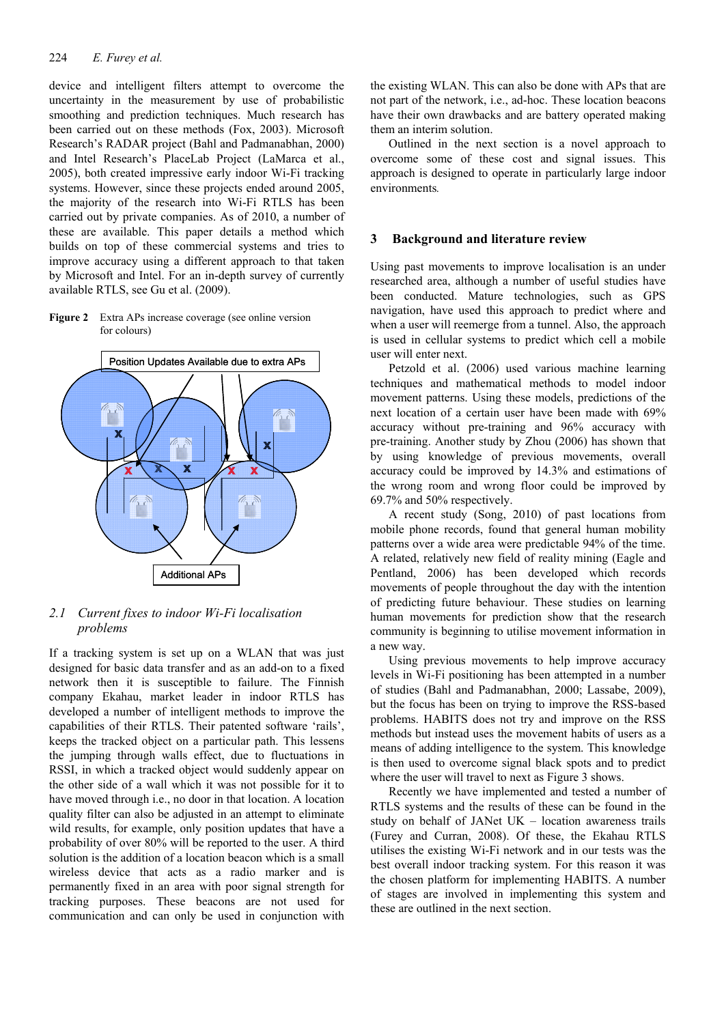#### 224 *E. Furey et al.*

device and intelligent filters attempt to overcome the uncertainty in the measurement by use of probabilistic smoothing and prediction techniques. Much research has been carried out on these methods (Fox, 2003). Microsoft Research's RADAR project (Bahl and Padmanabhan, 2000) and Intel Research's PlaceLab Project (LaMarca et al., 2005), both created impressive early indoor Wi-Fi tracking systems. However, since these projects ended around 2005, the majority of the research into Wi-Fi RTLS has been carried out by private companies. As of 2010, a number of these are available. This paper details a method which builds on top of these commercial systems and tries to improve accuracy using a different approach to that taken by Microsoft and Intel. For an in-depth survey of currently available RTLS, see Gu et al. (2009).

#### **Figure 2** Extra APs increase coverage (see online version for colours)



# *2.1 Current fixes to indoor Wi-Fi localisation problems*

If a tracking system is set up on a WLAN that was just designed for basic data transfer and as an add-on to a fixed network then it is susceptible to failure. The Finnish company Ekahau, market leader in indoor RTLS has developed a number of intelligent methods to improve the capabilities of their RTLS. Their patented software 'rails', keeps the tracked object on a particular path. This lessens the jumping through walls effect, due to fluctuations in RSSI, in which a tracked object would suddenly appear on the other side of a wall which it was not possible for it to have moved through i.e., no door in that location. A location quality filter can also be adjusted in an attempt to eliminate wild results, for example, only position updates that have a probability of over 80% will be reported to the user. A third solution is the addition of a location beacon which is a small wireless device that acts as a radio marker and is permanently fixed in an area with poor signal strength for tracking purposes. These beacons are not used for communication and can only be used in conjunction with

the existing WLAN. This can also be done with APs that are not part of the network, i.e., ad-hoc. These location beacons have their own drawbacks and are battery operated making them an interim solution.

Outlined in the next section is a novel approach to overcome some of these cost and signal issues. This approach is designed to operate in particularly large indoor environments*.* 

# **3 Background and literature review**

Using past movements to improve localisation is an under researched area, although a number of useful studies have been conducted. Mature technologies, such as GPS navigation, have used this approach to predict where and when a user will reemerge from a tunnel. Also, the approach is used in cellular systems to predict which cell a mobile user will enter next.

Petzold et al. (2006) used various machine learning techniques and mathematical methods to model indoor movement patterns. Using these models, predictions of the next location of a certain user have been made with 69% accuracy without pre-training and 96% accuracy with pre-training. Another study by Zhou (2006) has shown that by using knowledge of previous movements, overall accuracy could be improved by 14.3% and estimations of the wrong room and wrong floor could be improved by 69.7% and 50% respectively.

A recent study (Song, 2010) of past locations from mobile phone records, found that general human mobility patterns over a wide area were predictable 94% of the time. A related, relatively new field of reality mining (Eagle and Pentland, 2006) has been developed which records movements of people throughout the day with the intention of predicting future behaviour. These studies on learning human movements for prediction show that the research community is beginning to utilise movement information in a new way.

Using previous movements to help improve accuracy levels in Wi-Fi positioning has been attempted in a number of studies (Bahl and Padmanabhan, 2000; Lassabe, 2009), but the focus has been on trying to improve the RSS-based problems. HABITS does not try and improve on the RSS methods but instead uses the movement habits of users as a means of adding intelligence to the system. This knowledge is then used to overcome signal black spots and to predict where the user will travel to next as Figure 3 shows.

Recently we have implemented and tested a number of RTLS systems and the results of these can be found in the study on behalf of JANet UK – location awareness trails (Furey and Curran, 2008). Of these, the Ekahau RTLS utilises the existing Wi-Fi network and in our tests was the best overall indoor tracking system. For this reason it was the chosen platform for implementing HABITS. A number of stages are involved in implementing this system and these are outlined in the next section.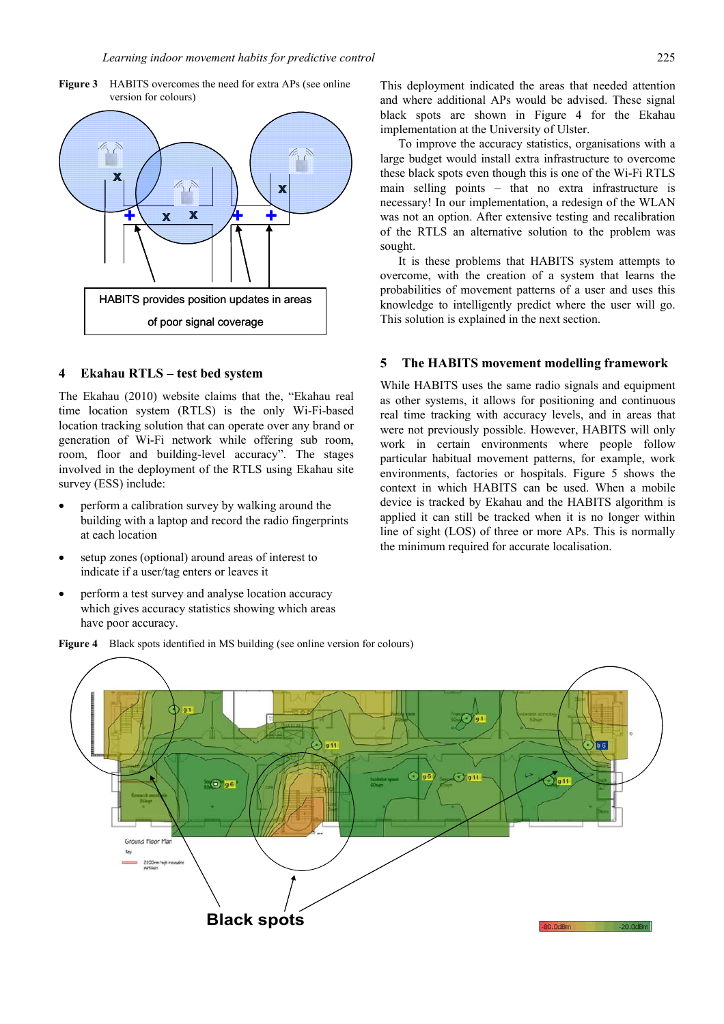

Figure 3 HABITS overcomes the need for extra APs (see online version for colours)

## **4 Ekahau RTLS – test bed system**

The Ekahau (2010) website claims that the, "Ekahau real time location system (RTLS) is the only Wi-Fi-based location tracking solution that can operate over any brand or generation of Wi-Fi network while offering sub room, room, floor and building-level accuracy". The stages involved in the deployment of the RTLS using Ekahau site survey (ESS) include:

- perform a calibration survey by walking around the building with a laptop and record the radio fingerprints at each location
- setup zones (optional) around areas of interest to indicate if a user/tag enters or leaves it
- perform a test survey and analyse location accuracy which gives accuracy statistics showing which areas have poor accuracy.

This deployment indicated the areas that needed attention and where additional APs would be advised. These signal black spots are shown in Figure 4 for the Ekahau implementation at the University of Ulster.

To improve the accuracy statistics, organisations with a large budget would install extra infrastructure to overcome these black spots even though this is one of the Wi-Fi RTLS main selling points – that no extra infrastructure is necessary! In our implementation, a redesign of the WLAN was not an option. After extensive testing and recalibration of the RTLS an alternative solution to the problem was sought.

It is these problems that HABITS system attempts to overcome, with the creation of a system that learns the probabilities of movement patterns of a user and uses this knowledge to intelligently predict where the user will go. This solution is explained in the next section.

#### **5 The HABITS movement modelling framework**

While HABITS uses the same radio signals and equipment as other systems, it allows for positioning and continuous real time tracking with accuracy levels, and in areas that were not previously possible. However, HABITS will only work in certain environments where people follow particular habitual movement patterns, for example, work environments, factories or hospitals. Figure 5 shows the context in which HABITS can be used. When a mobile device is tracked by Ekahau and the HABITS algorithm is applied it can still be tracked when it is no longer within line of sight (LOS) of three or more APs. This is normally the minimum required for accurate localisation.



**Figure 4** Black spots identified in MS building (see online version for colours)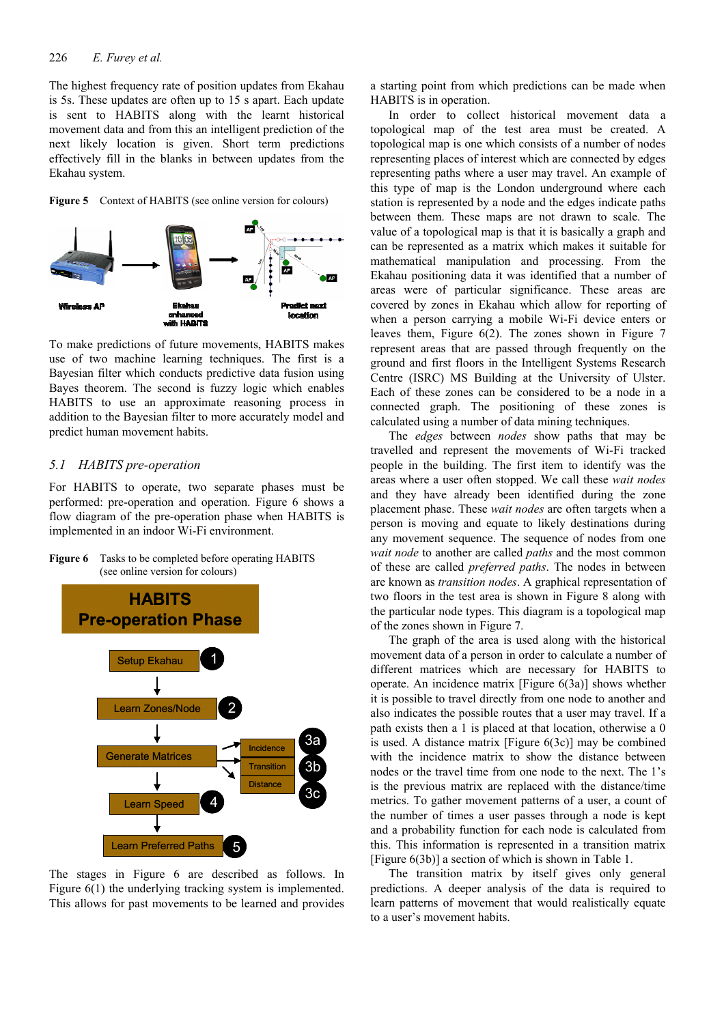The highest frequency rate of position updates from Ekahau is 5s. These updates are often up to 15 s apart. Each update is sent to HABITS along with the learnt historical movement data and from this an intelligent prediction of the next likely location is given. Short term predictions effectively fill in the blanks in between updates from the Ekahau system.

**Figure 5** Context of HABITS (see online version for colours)



To make predictions of future movements, HABITS makes use of two machine learning techniques. The first is a Bayesian filter which conducts predictive data fusion using Bayes theorem. The second is fuzzy logic which enables HABITS to use an approximate reasoning process in addition to the Bayesian filter to more accurately model and predict human movement habits.

# *5.1 HABITS pre-operation*

For HABITS to operate, two separate phases must be performed: pre-operation and operation. Figure 6 shows a flow diagram of the pre-operation phase when HABITS is implemented in an indoor Wi-Fi environment.

#### **Figure 6** Tasks to be completed before operating HABITS (see online version for colours)



The stages in Figure 6 are described as follows. In Figure  $6(1)$  the underlying tracking system is implemented. This allows for past movements to be learned and provides

a starting point from which predictions can be made when HABITS is in operation.

In order to collect historical movement data a topological map of the test area must be created. A topological map is one which consists of a number of nodes representing places of interest which are connected by edges representing paths where a user may travel. An example of this type of map is the London underground where each station is represented by a node and the edges indicate paths between them. These maps are not drawn to scale. The value of a topological map is that it is basically a graph and can be represented as a matrix which makes it suitable for mathematical manipulation and processing. From the Ekahau positioning data it was identified that a number of areas were of particular significance. These areas are covered by zones in Ekahau which allow for reporting of when a person carrying a mobile Wi-Fi device enters or leaves them, Figure 6(2). The zones shown in Figure 7 represent areas that are passed through frequently on the ground and first floors in the Intelligent Systems Research Centre (ISRC) MS Building at the University of Ulster. Each of these zones can be considered to be a node in a connected graph. The positioning of these zones is calculated using a number of data mining techniques.

The *edges* between *nodes* show paths that may be travelled and represent the movements of Wi-Fi tracked people in the building. The first item to identify was the areas where a user often stopped. We call these *wait nodes* and they have already been identified during the zone placement phase. These *wait nodes* are often targets when a person is moving and equate to likely destinations during any movement sequence. The sequence of nodes from one *wait node* to another are called *paths* and the most common of these are called *preferred paths*. The nodes in between are known as *transition nodes*. A graphical representation of two floors in the test area is shown in Figure 8 along with the particular node types. This diagram is a topological map of the zones shown in Figure 7.

The graph of the area is used along with the historical movement data of a person in order to calculate a number of different matrices which are necessary for HABITS to operate. An incidence matrix [Figure 6(3a)] shows whether it is possible to travel directly from one node to another and also indicates the possible routes that a user may travel. If a path exists then a 1 is placed at that location, otherwise a 0 is used. A distance matrix [Figure 6(3c)] may be combined with the incidence matrix to show the distance between nodes or the travel time from one node to the next. The 1's is the previous matrix are replaced with the distance/time metrics. To gather movement patterns of a user, a count of the number of times a user passes through a node is kept and a probability function for each node is calculated from this. This information is represented in a transition matrix [Figure 6(3b)] a section of which is shown in Table 1.

The transition matrix by itself gives only general predictions. A deeper analysis of the data is required to learn patterns of movement that would realistically equate to a user's movement habits.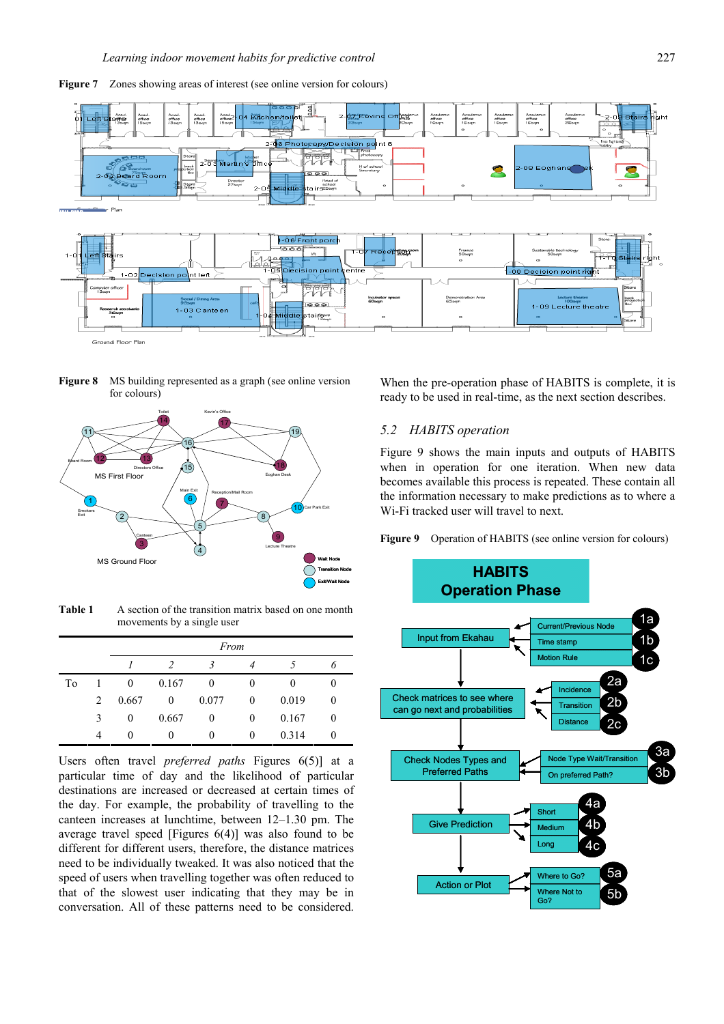

Figure 7 Zones showing areas of interest (see online version for colours)

**Figure 8** MS building represented as a graph (see online version for colours)



Table 1 A section of the transition matrix based on one month movements by a single user

|    |   | From     |                |          |          |       |   |
|----|---|----------|----------------|----------|----------|-------|---|
|    |   |          | $\mathfrak{D}$ | 3        |          |       | 6 |
| To |   | 0        | 0.167          | $\theta$ |          |       | 0 |
|    | 2 | 0.667    | 0              | 0.077    | $\theta$ | 0.019 | 0 |
|    | 3 | $\theta$ | 0.667          | 0        | $\theta$ | 0.167 | 0 |
|    |   | 0        |                |          |          | 0.314 | 0 |

Users often travel *preferred paths* Figures 6(5)] at a particular time of day and the likelihood of particular destinations are increased or decreased at certain times of the day. For example, the probability of travelling to the canteen increases at lunchtime, between 12–1.30 pm. The average travel speed [Figures 6(4)] was also found to be different for different users, therefore, the distance matrices need to be individually tweaked. It was also noticed that the speed of users when travelling together was often reduced to that of the slowest user indicating that they may be in conversation. All of these patterns need to be considered.

When the pre-operation phase of HABITS is complete, it is ready to be used in real-time, as the next section describes.

### *5.2 HABITS operation*

Figure 9 shows the main inputs and outputs of HABITS when in operation for one iteration. When new data becomes available this process is repeated. These contain all the information necessary to make predictions as to where a Wi-Fi tracked user will travel to next.

**Figure 9** Operation of HABITS (see online version for colours)

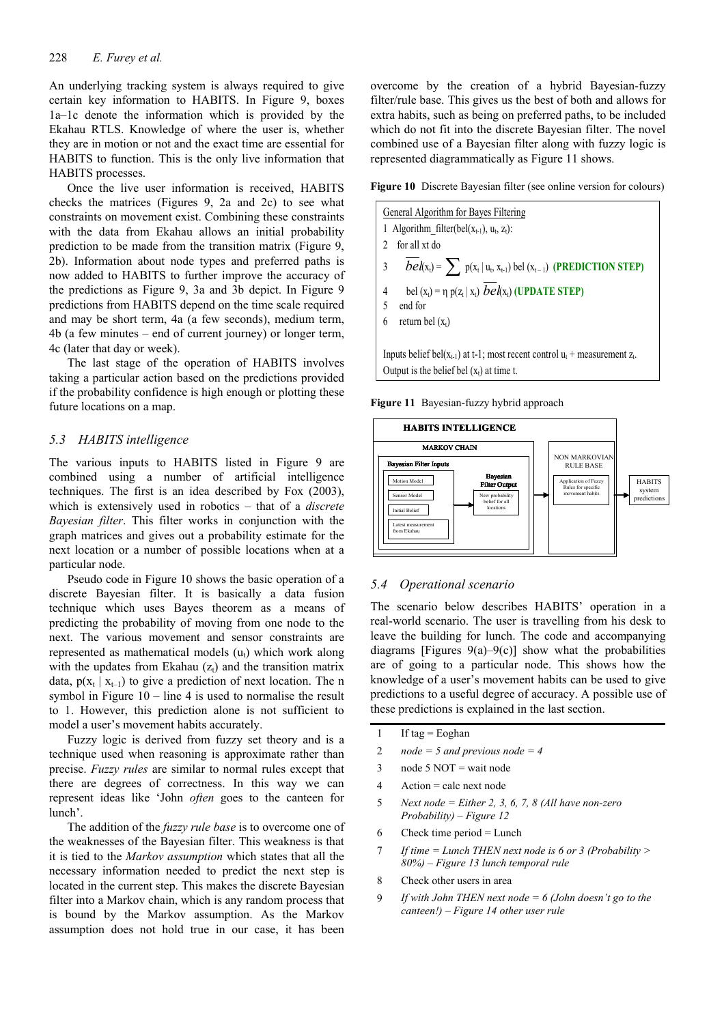An underlying tracking system is always required to give certain key information to HABITS. In Figure 9, boxes 1a–1c denote the information which is provided by the Ekahau RTLS. Knowledge of where the user is, whether they are in motion or not and the exact time are essential for HABITS to function. This is the only live information that HABITS processes.

Once the live user information is received, HABITS checks the matrices (Figures 9, 2a and 2c) to see what constraints on movement exist. Combining these constraints with the data from Ekahau allows an initial probability prediction to be made from the transition matrix (Figure 9, 2b). Information about node types and preferred paths is now added to HABITS to further improve the accuracy of the predictions as Figure 9, 3a and 3b depict. In Figure 9 predictions from HABITS depend on the time scale required and may be short term, 4a (a few seconds), medium term, 4b (a few minutes – end of current journey) or longer term, 4c (later that day or week).

The last stage of the operation of HABITS involves taking a particular action based on the predictions provided if the probability confidence is high enough or plotting these future locations on a map.

#### *5.3 HABITS intelligence*

The various inputs to HABITS listed in Figure 9 are combined using a number of artificial intelligence techniques. The first is an idea described by Fox (2003), which is extensively used in robotics – that of a *discrete Bayesian filter*. This filter works in conjunction with the graph matrices and gives out a probability estimate for the next location or a number of possible locations when at a particular node.

Pseudo code in Figure 10 shows the basic operation of a discrete Bayesian filter. It is basically a data fusion technique which uses Bayes theorem as a means of predicting the probability of moving from one node to the next. The various movement and sensor constraints are represented as mathematical models  $(u_t)$  which work along with the updates from Ekahau  $(z_t)$  and the transition matrix data,  $p(x_t | x_{t-1})$  to give a prediction of next location. The n symbol in Figure  $10 -$  line 4 is used to normalise the result to 1. However, this prediction alone is not sufficient to model a user's movement habits accurately.

Fuzzy logic is derived from fuzzy set theory and is a technique used when reasoning is approximate rather than precise. *Fuzzy rules* are similar to normal rules except that there are degrees of correctness. In this way we can represent ideas like 'John *often* goes to the canteen for lunch'.

The addition of the *fuzzy rule base* is to overcome one of the weaknesses of the Bayesian filter. This weakness is that it is tied to the *Markov assumption* which states that all the necessary information needed to predict the next step is located in the current step. This makes the discrete Bayesian filter into a Markov chain, which is any random process that is bound by the Markov assumption. As the Markov assumption does not hold true in our case, it has been

overcome by the creation of a hybrid Bayesian-fuzzy filter/rule base. This gives us the best of both and allows for extra habits, such as being on preferred paths, to be included which do not fit into the discrete Bayesian filter. The novel combined use of a Bayesian filter along with fuzzy logic is represented diagrammatically as Figure 11 shows.

**Figure 10** Discrete Bayesian filter (see online version for colours)

| General Algorithm for Bayes Filtering                                                                       |  |  |  |  |
|-------------------------------------------------------------------------------------------------------------|--|--|--|--|
| 1 Algorithm filter(bel( $x_{t-1}$ ), $u_t$ , $z_t$ ).                                                       |  |  |  |  |
| for all xt do                                                                                               |  |  |  |  |
| $\textit{bel}(x_t) = \sum p(x_t   u_t, x_{t-1})$ bel $(x_{t-1})$ ( <b>PREDICTION STEP</b> )<br>$\mathbf{3}$ |  |  |  |  |
| bel $(x_t) = \eta p(z_t   x_t)$ bel $(x_t)$ (UPDATE STEP)<br>4                                              |  |  |  |  |
| 5<br>end for                                                                                                |  |  |  |  |
| 6<br>return bel $(x_t)$                                                                                     |  |  |  |  |
|                                                                                                             |  |  |  |  |
| Inputs belief bel( $x_{t-1}$ ) at t-1; most recent control $u_t$ + measurement $z_t$ .                      |  |  |  |  |
| Output is the belief bel $(x_t)$ at time t.                                                                 |  |  |  |  |

**Figure 11** Bayesian-fuzzy hybrid approach



## *5.4 Operational scenario*

The scenario below describes HABITS' operation in a real-world scenario. The user is travelling from his desk to leave the building for lunch. The code and accompanying diagrams [Figures  $9(a) - 9(c)$ ] show what the probabilities are of going to a particular node. This shows how the knowledge of a user's movement habits can be used to give predictions to a useful degree of accuracy. A possible use of these predictions is explained in the last section.

- 1 If tag  $=$  Eoghan
- 2 *node = 5 and previous node = 4*
- $3$  node 5 NOT = wait node
- 4 Action = calc next node
- 5 *Next node = Either 2, 3, 6, 7, 8 (All have non-zero Probability) – Figure 12*
- 6 Check time period  $=$  Lunch
- 7 *If time = Lunch THEN next node is 6 or 3 (Probability > 80%) – Figure 13 lunch temporal rule*
- 8 Check other users in area
- 9 *If with John THEN next node = 6 (John doesn't go to the canteen!) – Figure 14 other user rule*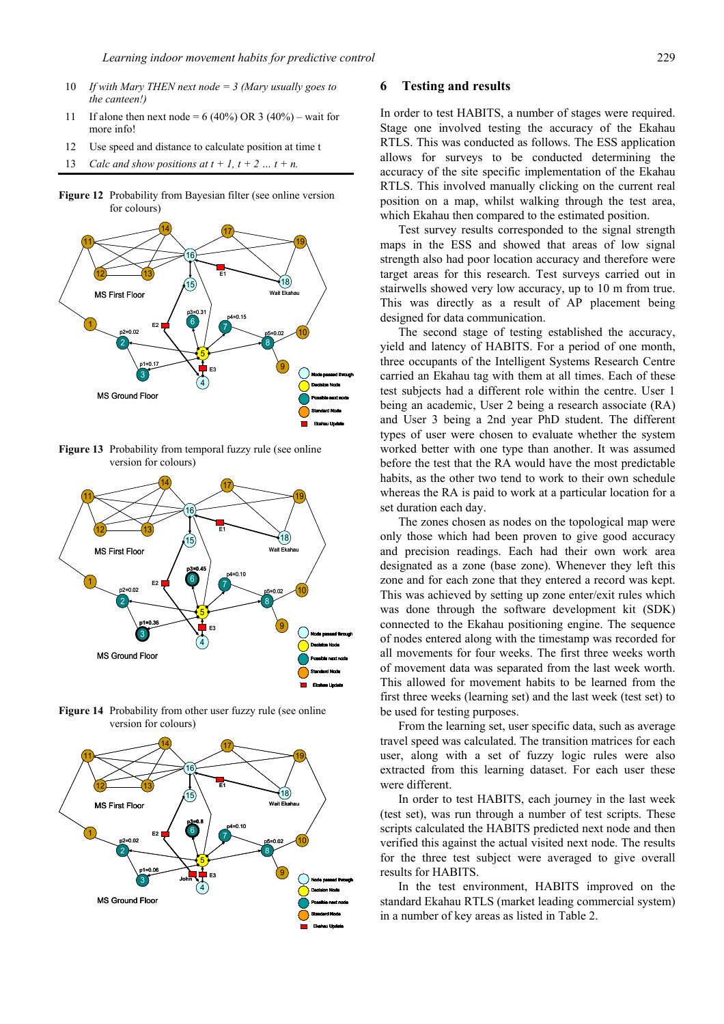- 10 *If with Mary THEN next node = 3 (Mary usually goes to the canteen!)*
- 11 If alone then next node = 6 (40%) OR 3 (40%) wait for more info!
- 12 Use speed and distance to calculate position at time t
- 13 *Calc and show positions at*  $t + 1$ *,*  $t + 2$  *...*  $t + n$ .





Figure 13 Probability from temporal fuzzy rule (see online version for colours)



Figure 14 Probability from other user fuzzy rule (see online version for colours)



In order to test HABITS, a number of stages were required. Stage one involved testing the accuracy of the Ekahau RTLS. This was conducted as follows. The ESS application allows for surveys to be conducted determining the accuracy of the site specific implementation of the Ekahau RTLS. This involved manually clicking on the current real position on a map, whilst walking through the test area, which Ekahau then compared to the estimated position.

Test survey results corresponded to the signal strength maps in the ESS and showed that areas of low signal strength also had poor location accuracy and therefore were target areas for this research. Test surveys carried out in stairwells showed very low accuracy, up to 10 m from true. This was directly as a result of AP placement being designed for data communication.

The second stage of testing established the accuracy, yield and latency of HABITS. For a period of one month, three occupants of the Intelligent Systems Research Centre carried an Ekahau tag with them at all times. Each of these test subjects had a different role within the centre. User 1 being an academic, User 2 being a research associate (RA) and User 3 being a 2nd year PhD student. The different types of user were chosen to evaluate whether the system worked better with one type than another. It was assumed before the test that the RA would have the most predictable habits, as the other two tend to work to their own schedule whereas the RA is paid to work at a particular location for a set duration each day.

The zones chosen as nodes on the topological map were only those which had been proven to give good accuracy and precision readings. Each had their own work area designated as a zone (base zone). Whenever they left this zone and for each zone that they entered a record was kept. This was achieved by setting up zone enter/exit rules which was done through the software development kit (SDK) connected to the Ekahau positioning engine. The sequence of nodes entered along with the timestamp was recorded for all movements for four weeks. The first three weeks worth of movement data was separated from the last week worth. This allowed for movement habits to be learned from the first three weeks (learning set) and the last week (test set) to be used for testing purposes.

From the learning set, user specific data, such as average travel speed was calculated. The transition matrices for each user, along with a set of fuzzy logic rules were also extracted from this learning dataset. For each user these were different.

In order to test HABITS, each journey in the last week (test set), was run through a number of test scripts. These scripts calculated the HABITS predicted next node and then verified this against the actual visited next node. The results for the three test subject were averaged to give overall results for HABITS.

In the test environment, HABITS improved on the standard Ekahau RTLS (market leading commercial system) in a number of key areas as listed in Table 2.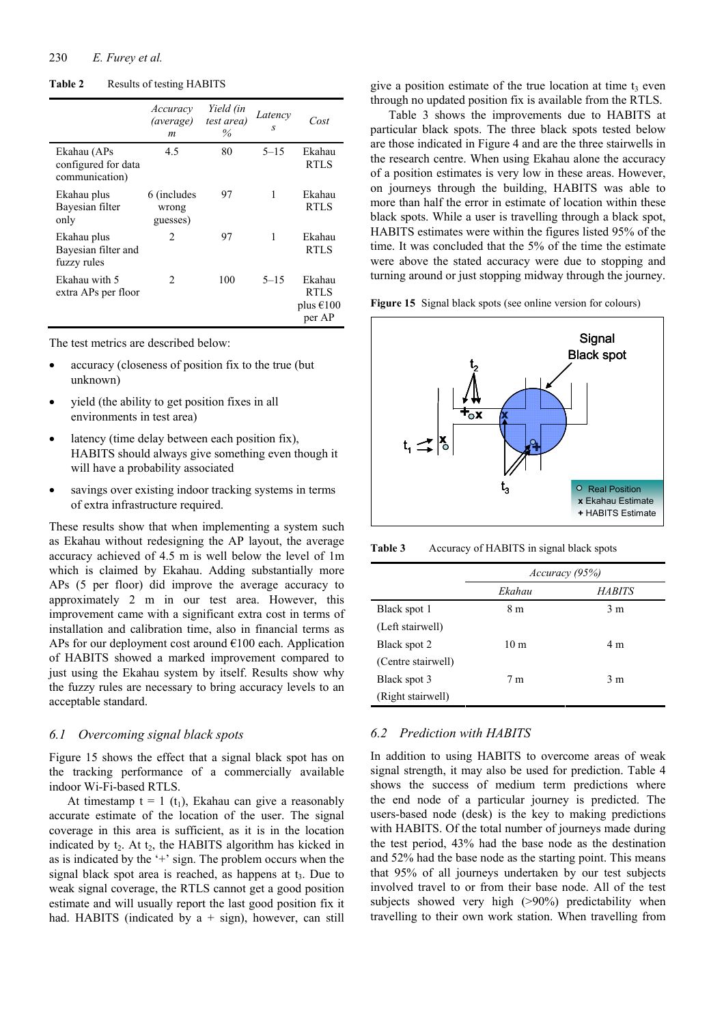#### 230 *E. Furey et al.*

|  | Table 2 | Results of testing HABITS |
|--|---------|---------------------------|
|--|---------|---------------------------|

|                                                      | Accuracy<br><i>(average)</i><br>m | Yield (in<br>test area)<br>% | Latency<br>.s | Cost                                            |
|------------------------------------------------------|-----------------------------------|------------------------------|---------------|-------------------------------------------------|
| Ekahau (APs<br>configured for data<br>communication) | 4.5                               | 80                           | $5 - 15$      | Ekahau<br><b>RTLS</b>                           |
| Ekahau plus<br>Bayesian filter<br>only               | 6 (includes<br>wrong<br>guesses)  | 97                           | 1             | Ekahau<br>RTLS                                  |
| Ekahau plus<br>Bayesian filter and<br>fuzzy rules    | $\mathfrak{D}$                    | 97                           | 1             | Ekahau<br>RTLS                                  |
| Ekahau with 5<br>extra APs per floor                 | 2                                 | 100                          | $5 - 15$      | Ekahau<br>RTLS<br>plus $\epsilon$ 100<br>per AP |

The test metrics are described below:

- accuracy (closeness of position fix to the true (but unknown)
- yield (the ability to get position fixes in all environments in test area)
- latency (time delay between each position fix), HABITS should always give something even though it will have a probability associated
- savings over existing indoor tracking systems in terms of extra infrastructure required.

These results show that when implementing a system such as Ekahau without redesigning the AP layout, the average accuracy achieved of 4.5 m is well below the level of 1m which is claimed by Ekahau. Adding substantially more APs (5 per floor) did improve the average accuracy to approximately 2 m in our test area. However, this improvement came with a significant extra cost in terms of installation and calibration time, also in financial terms as APs for our deployment cost around €100 each. Application of HABITS showed a marked improvement compared to just using the Ekahau system by itself. Results show why the fuzzy rules are necessary to bring accuracy levels to an acceptable standard.

### *6.1 Overcoming signal black spots*

Figure 15 shows the effect that a signal black spot has on the tracking performance of a commercially available indoor Wi-Fi-based RTLS.

At timestamp  $t = 1$  (t<sub>1</sub>), Ekahau can give a reasonably accurate estimate of the location of the user. The signal coverage in this area is sufficient, as it is in the location indicated by  $t_2$ . At  $t_2$ , the HABITS algorithm has kicked in as is indicated by the '+' sign. The problem occurs when the signal black spot area is reached, as happens at  $t<sub>3</sub>$ . Due to weak signal coverage, the RTLS cannot get a good position estimate and will usually report the last good position fix it had. HABITS (indicated by  $a + sign$ ), however, can still give a position estimate of the true location at time  $t_3$  even through no updated position fix is available from the RTLS.

Table 3 shows the improvements due to HABITS at particular black spots. The three black spots tested below are those indicated in Figure 4 and are the three stairwells in the research centre. When using Ekahau alone the accuracy of a position estimates is very low in these areas. However, on journeys through the building, HABITS was able to more than half the error in estimate of location within these black spots. While a user is travelling through a black spot, HABITS estimates were within the figures listed 95% of the time. It was concluded that the 5% of the time the estimate were above the stated accuracy were due to stopping and turning around or just stopping midway through the journey.

**Figure 15** Signal black spots (see online version for colours)



**Table 3** Accuracy of HABITS in signal black spots

|                    | Accuracy (95%)  |                |  |  |
|--------------------|-----------------|----------------|--|--|
|                    | Ekahau          | <i>HABITS</i>  |  |  |
| Black spot 1       | 8 m             | 3 <sub>m</sub> |  |  |
| (Left stairwell)   |                 |                |  |  |
| Black spot 2       | 10 <sub>m</sub> | 4 m            |  |  |
| (Centre stairwell) |                 |                |  |  |
| Black spot 3       | 7 m             | 3 <sub>m</sub> |  |  |
| (Right stairwell)  |                 |                |  |  |

### *6.2 Prediction with HABITS*

In addition to using HABITS to overcome areas of weak signal strength, it may also be used for prediction. Table 4 shows the success of medium term predictions where the end node of a particular journey is predicted. The users-based node (desk) is the key to making predictions with HABITS. Of the total number of journeys made during the test period, 43% had the base node as the destination and 52% had the base node as the starting point. This means that 95% of all journeys undertaken by our test subjects involved travel to or from their base node. All of the test subjects showed very high (>90%) predictability when travelling to their own work station. When travelling from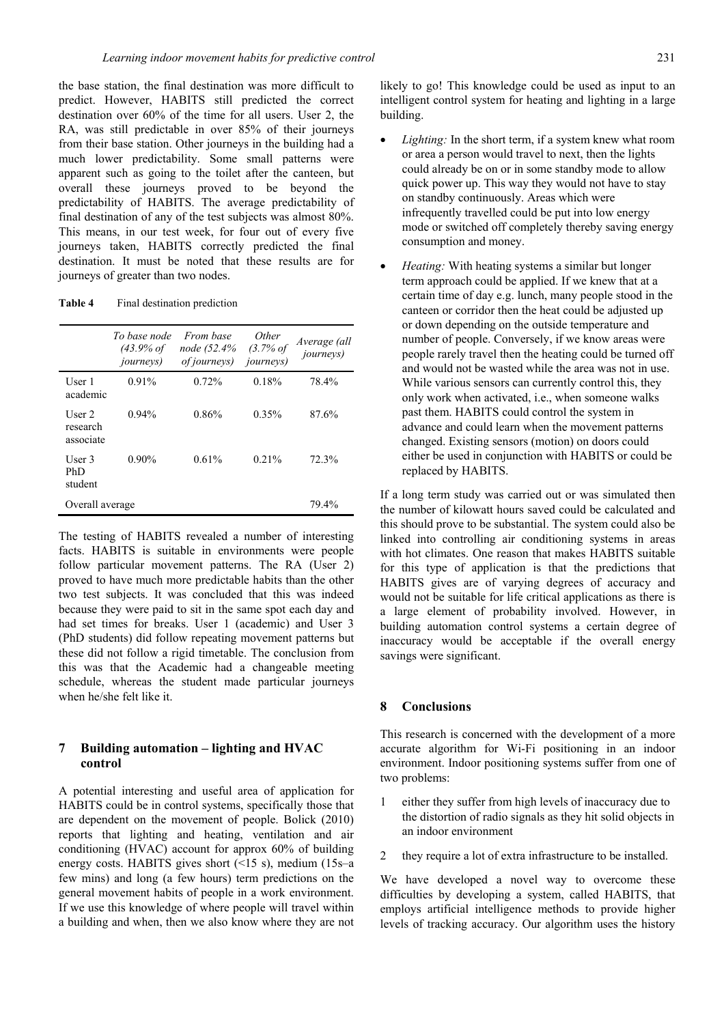the base station, the final destination was more difficult to predict. However, HABITS still predicted the correct destination over 60% of the time for all users. User 2, the RA, was still predictable in over 85% of their journeys from their base station. Other journeys in the building had a much lower predictability. Some small patterns were apparent such as going to the toilet after the canteen, but overall these journeys proved to be beyond the predictability of HABITS. The average predictability of final destination of any of the test subjects was almost 80%. This means, in our test week, for four out of every five journeys taken, HABITS correctly predicted the final destination. It must be noted that these results are for journeys of greater than two nodes.

|                                 | To base node<br>(43.9% of<br><i>journeys</i> ) | From base<br>node (52.4%<br><i>of journeys</i> ) | Other<br>$(3.7\% \text{ of }$<br><i>journeys</i> ) | Average (all<br><i>journeys</i> ) |
|---------------------------------|------------------------------------------------|--------------------------------------------------|----------------------------------------------------|-----------------------------------|
| User 1<br>academic              | 0.91%                                          | 0.72%                                            | 0.18%                                              | 78.4%                             |
| User 2<br>research<br>associate | $0.94\%$                                       | 0.86%                                            | 0.35%                                              | 87.6%                             |
| User $3$<br>PhD<br>student      | $0.90\%$                                       | 0.61%                                            | 0.21%                                              | 72.3%                             |
| Overall average                 |                                                |                                                  |                                                    | 79.4%                             |

**Table 4** Final destination prediction

The testing of HABITS revealed a number of interesting facts. HABITS is suitable in environments were people follow particular movement patterns. The RA (User 2) proved to have much more predictable habits than the other two test subjects. It was concluded that this was indeed because they were paid to sit in the same spot each day and had set times for breaks. User 1 (academic) and User 3 (PhD students) did follow repeating movement patterns but these did not follow a rigid timetable. The conclusion from this was that the Academic had a changeable meeting schedule, whereas the student made particular journeys when he/she felt like it.

# **7 Building automation – lighting and HVAC control**

A potential interesting and useful area of application for HABITS could be in control systems, specifically those that are dependent on the movement of people. Bolick (2010) reports that lighting and heating, ventilation and air conditioning (HVAC) account for approx 60% of building energy costs. HABITS gives short (<15 s), medium (15s–a few mins) and long (a few hours) term predictions on the general movement habits of people in a work environment. If we use this knowledge of where people will travel within a building and when, then we also know where they are not likely to go! This knowledge could be used as input to an intelligent control system for heating and lighting in a large building.

- *Lighting:* In the short term, if a system knew what room or area a person would travel to next, then the lights could already be on or in some standby mode to allow quick power up. This way they would not have to stay on standby continuously. Areas which were infrequently travelled could be put into low energy mode or switched off completely thereby saving energy consumption and money.
- *Heating:* With heating systems a similar but longer term approach could be applied. If we knew that at a certain time of day e.g. lunch, many people stood in the canteen or corridor then the heat could be adjusted up or down depending on the outside temperature and number of people. Conversely, if we know areas were people rarely travel then the heating could be turned off and would not be wasted while the area was not in use. While various sensors can currently control this, they only work when activated, i.e., when someone walks past them. HABITS could control the system in advance and could learn when the movement patterns changed. Existing sensors (motion) on doors could either be used in conjunction with HABITS or could be replaced by HABITS.

If a long term study was carried out or was simulated then the number of kilowatt hours saved could be calculated and this should prove to be substantial. The system could also be linked into controlling air conditioning systems in areas with hot climates. One reason that makes HABITS suitable for this type of application is that the predictions that HABITS gives are of varying degrees of accuracy and would not be suitable for life critical applications as there is a large element of probability involved. However, in building automation control systems a certain degree of inaccuracy would be acceptable if the overall energy savings were significant.

# **8 Conclusions**

This research is concerned with the development of a more accurate algorithm for Wi-Fi positioning in an indoor environment. Indoor positioning systems suffer from one of two problems:

- 1 either they suffer from high levels of inaccuracy due to the distortion of radio signals as they hit solid objects in an indoor environment
- 2 they require a lot of extra infrastructure to be installed.

We have developed a novel way to overcome these difficulties by developing a system, called HABITS, that employs artificial intelligence methods to provide higher levels of tracking accuracy. Our algorithm uses the history